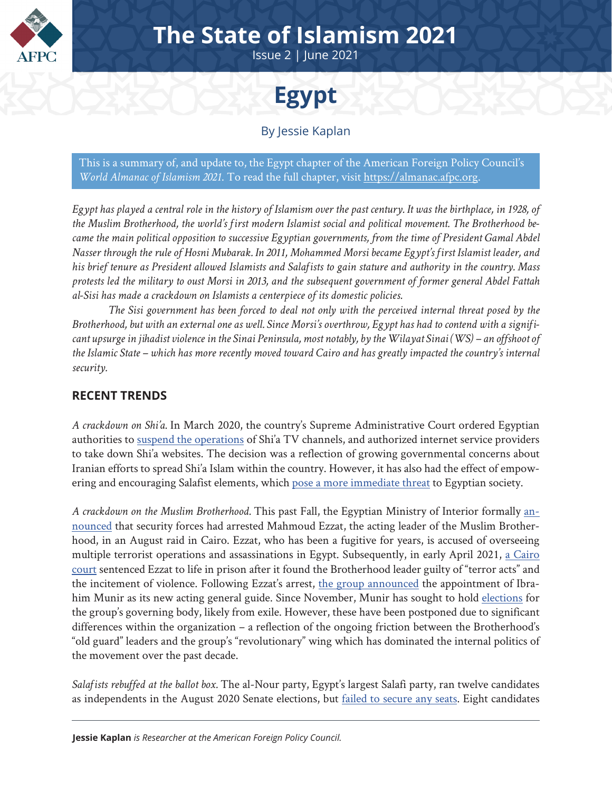

## **The State of Islamism 2021**

Issue 2 | June 2021



By Jessie Kaplan

This is a summary of, and update to, the Egypt chapter of the American Foreign Policy Council's *World Almanac of Islamism 2021*. To read the full chapter, visit [https://almanac.afpc.org](https://almanac.afpc.org/almanac).

*Egypt has played a central role in the history of Islamism over the past century. It was the birthplace, in 1928, of the Muslim Brotherhood, the world's first modern Islamist social and political movement. The Brotherhood became the main political opposition to successive Egyptian governments, from the time of President Gamal Abdel Nasser through the rule of Hosni Mubarak. In 2011, Mohammed Morsi became Egypt's first Islamist leader, and his brief tenure as President allowed Islamists and Salafists to gain stature and authority in the country. Mass protests led the military to oust Morsi in 2013, and the subsequent government of former general Abdel Fattah al-Sisi has made a crackdown on Islamists a centerpiece of its domestic policies.* 

*The Sisi government has been forced to deal not only with the perceived internal threat posed by the Brotherhood, but with an external one as well. Since Morsi's overthrow, Egypt has had to contend with a significant upsurge in jihadist violence in the Sinai Peninsula, most notably, by the Wilayat Sinai (WS) – an offshoot of the Islamic State – which has more recently moved toward Cairo and has greatly impacted the country's internal security.*

## **RECENT TRENDS**

*A crackdown on Shi'a.* In March 2020, the country's Supreme Administrative Court ordered Egyptian authorities to [suspend the operations](https://thearabweekly.com/crackdown-shia-tv-channels-websites-expected-egypt) of Shi'a TV channels, and authorized internet service providers to take down Shi'a websites. The decision was a reflection of growing governmental concerns about Iranian efforts to spread Shi'a Islam within the country. However, it has also had the effect of empowering and encouraging Salafist elements, which [pose a more immediate threat](https://www.middleeastmonitor.com/20200313-egypt-has-securitised-shiism-but-salafism-arguably-poses-the-greater-threat/) to Egyptian society.

*A crackdown on the Muslim Brotherhood.* This past Fall, the Egyptian Ministry of Interior formally [an](https://www.arabnews.com/node/1725961/middle-east)[nounced](https://www.arabnews.com/node/1725961/middle-east) that security forces had arrested Mahmoud Ezzat, the acting leader of the Muslim Brotherhood, in an August raid in Cairo. Ezzat, who has been a fugitive for years, is accused of overseeing multiple terrorist operations and assassinations in Egypt. Subsequently, in early April 2021, [a Cairo](https://www.aljazeera.com/news/2021/4/8/egypt-sentences-muslim-brotherhood-leader-to-life-in-prison) [court](https://www.aljazeera.com/news/2021/4/8/egypt-sentences-muslim-brotherhood-leader-to-life-in-prison) sentenced Ezzat to life in prison after it found the Brotherhood leader guilty of "terror acts" and the incitement of violence. Following Ezzat's arrest, [the group announced](https://www.al-monitor.com/originals/2020/09/egypt-arrest-leader-muslim-brotherhood-successor.html) the appointment of Ibrahim Munir as its new acting general guide. Since November, Munir has sought to hold [elections](https://english.alaraby.co.uk/news/egypts-brotherhood-mulls-elections-exile-amid-internal-dissent) for the group's governing body, likely from exile. However, these have been postponed due to significant differences within the organization – a reflection of the ongoing friction between the Brotherhood's "old guard" leaders and the group's "revolutionary" wing which has dominated the internal politics of the movement over the past decade.

*Salafists rebuffed at the ballot box.* The al-Nour party, Egypt's largest Salafi party, ran twelve candidates as independents in the August 2020 Senate elections, but [failed to secure any seats](https://www.al-monitor.com/originals/2020/09/egypt-salafist-political-parties-lost-senate-elections.html). Eight candidates